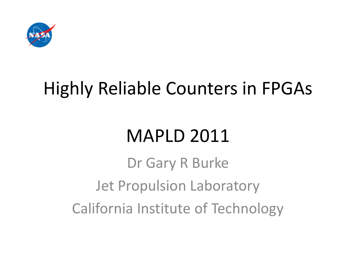

#### Highly Reliable Counters in FPGAs

#### MAPLD 2011

Dr Gary R Burke Jet Propulsion Laboratory California Institute of Technology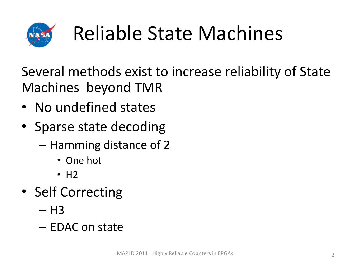

# Reliable State Machines

Several methods exist to increase reliability of State Machines beyond TMR

- No undefined states
- Sparse state decoding
	- Hamming distance of 2
		- One hot
		- $\cdot$  H<sub>2</sub>
- Self Correcting
	- $-$  H3
	- EDAC on state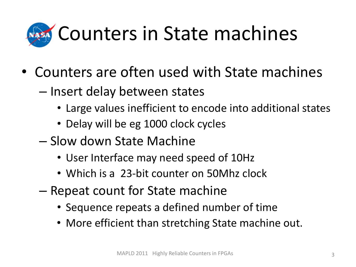

- Counters are often used with State machines
	- Insert delay between states
		- Large values inefficient to encode into additional states
		- Delay will be eg 1000 clock cycles
	- Slow down State Machine
		- User Interface may need speed of 10Hz
		- Which is a 23-bit counter on 50Mhz clock
	- Repeat count for State machine
		- Sequence repeats a defined number of time
		- More efficient than stretching State machine out.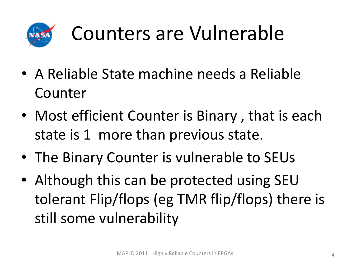

#### Counters are Vulnerable

- A Reliable State machine needs a Reliable Counter
- Most efficient Counter is Binary , that is each state is 1 more than previous state.
- The Binary Counter is vulnerable to SEUs
- Although this can be protected using SEU tolerant Flip/flops (eg TMR flip/flops) there is still some vulnerability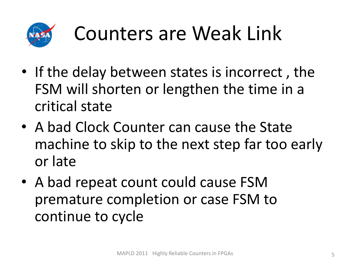

#### Counters are Weak Link

- If the delay between states is incorrect , the FSM will shorten or lengthen the time in a critical state
- A bad Clock Counter can cause the State machine to skip to the next step far too early or late
- A bad repeat count could cause FSM premature completion or case FSM to continue to cycle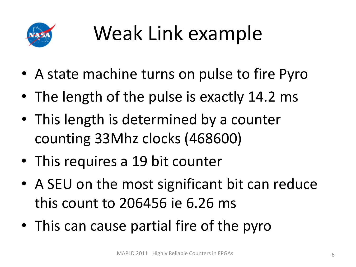

# Weak Link example

- A state machine turns on pulse to fire Pyro
- The length of the pulse is exactly 14.2 ms
- This length is determined by a counter counting 33Mhz clocks (468600)
- This requires a 19 bit counter
- A SEU on the most significant bit can reduce this count to 206456 ie 6.26 ms
- This can cause partial fire of the pyro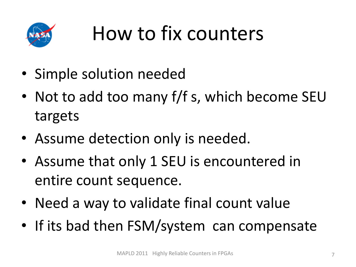

#### How to fix counters

- Simple solution needed
- Not to add too many f/f s, which become SEU targets
- Assume detection only is needed.
- Assume that only 1 SEU is encountered in entire count sequence.
- Need a way to validate final count value
- If its bad then FSM/system can compensate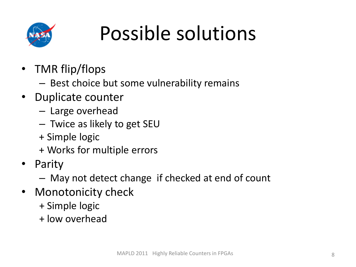

#### Possible solutions

- TMR flip/flops
	- Best choice but some vulnerability remains
- Duplicate counter
	- Large overhead
	- Twice as likely to get SEU
	- + Simple logic
	- + Works for multiple errors
- Parity
	- May not detect change if checked at end of count
- Monotonicity check
	- + Simple logic
	- + low overhead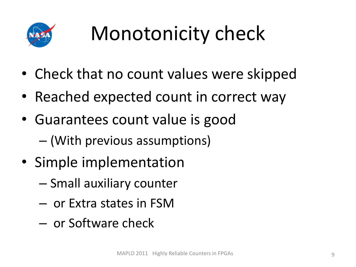

# Monotonicity check

- Check that no count values were skipped
- Reached expected count in correct way
- Guarantees count value is good – (With previous assumptions)
- Simple implementation
	- Small auxiliary counter
	- or Extra states in FSM
	- or Software check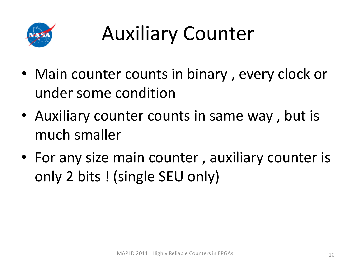

# Auxiliary Counter

- Main counter counts in binary, every clock or under some condition
- Auxiliary counter counts in same way , but is much smaller
- For any size main counter , auxiliary counter is only 2 bits ! (single SEU only)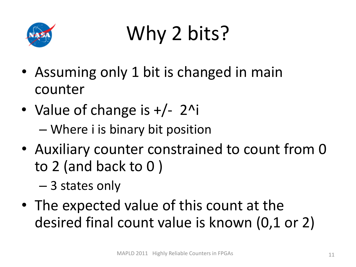

## Why 2 bits?

- Assuming only 1 bit is changed in main counter
- Value of change is  $+/- 2$ <sup>^</sup>i – Where i is binary bit position
- Auxiliary counter constrained to count from 0 to 2 (and back to 0 )
	- 3 states only
- The expected value of this count at the desired final count value is known (0,1 or 2)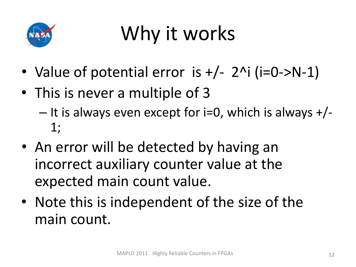

#### Why it works

- Value of potential error is  $+/- 2$ <sup>^</sup>i (i=0->N-1)
- This is never a multiple of 3  $-$  It is always even except for i=0, which is always  $+/-$ 1;
- An error will be detected by having an incorrect auxiliary counter value at the expected main count value.
- Note this is independent of the size of the main count.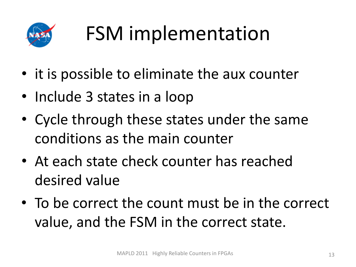

# FSM implementation

- it is possible to eliminate the aux counter
- Include 3 states in a loop
- Cycle through these states under the same conditions as the main counter
- At each state check counter has reached desired value
- To be correct the count must be in the correct value, and the FSM in the correct state.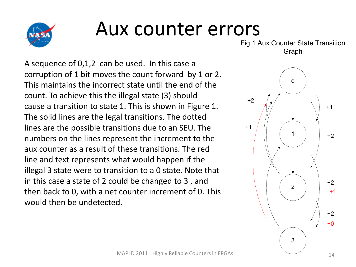

#### Aux counter errors

A sequence of 0,1,2 can be used. In this case a corruption of 1 bit moves the count forward by 1 or 2. This maintains the incorrect state until the end of the count. To achieve this the illegal state (3) should cause a transition to state 1. This is shown in Figure 1. The solid lines are the legal transitions. The dotted lines are the possible transitions due to an SEU. The numbers on the lines represent the increment to the aux counter as a result of these transitions. The red line and text represents what would happen if the illegal 3 state were to transition to a 0 state. Note that in this case a state of 2 could be changed to 3 , and then back to 0, with a net counter increment of 0. This would then be undetected.

Fig.1 Aux Counter State Transition Graph

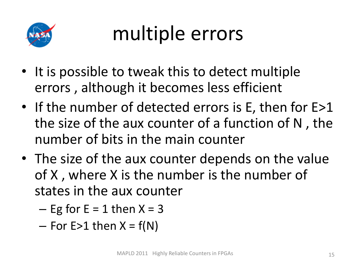

## multiple errors

- It is possible to tweak this to detect multiple errors , although it becomes less efficient
- If the number of detected errors is E, then for E>1 the size of the aux counter of a function of N , the number of bits in the main counter
- The size of the aux counter depends on the value of X , where X is the number is the number of states in the aux counter

 $-$  Eg for E = 1 then  $X = 3$ 

 $-$  For E>1 then  $X = f(N)$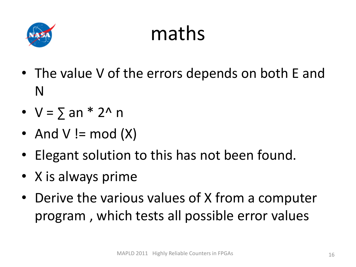

#### maths

- The value V of the errors depends on both E and N
- $V = \sum an * 2^n n$
- And  $V \equiv \text{mod}(X)$
- Elegant solution to this has not been found.
- X is always prime
- Derive the various values of X from a computer program , which tests all possible error values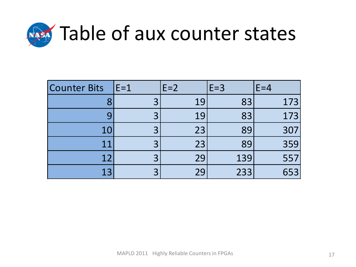

| <b>Counter Bits</b> | $E=1$ | $E=2$ | $E=3$ | $E = 4$ |
|---------------------|-------|-------|-------|---------|
|                     |       | 19    | 83    | 173     |
|                     |       | 19    | 83    | 173     |
| 10                  |       | 23    | 89    | 307     |
|                     |       | 23    | 89    | 359     |
| 12                  |       | 29    | 139   | 557     |
| 13                  |       | 29    | 233   | 653     |